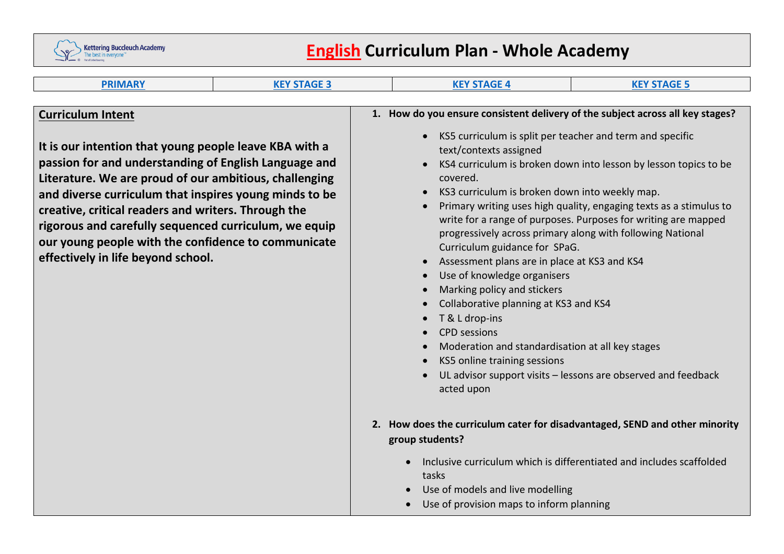

# **English Curriculum Plan - Whole Academy**

| <b>PRIMARY</b>                                                                                                                                                                                                                                                                                                                                                                                                                                                               | <b>KEY STAGE 3</b> | <b>KEY STAGE 4</b>                                                                                                                                                                                                                                                                                                                                                                                                                                                                                                                                                     | <b>KEY STAGE 5</b>                                                                                                                                                                                                                                                                                                                      |
|------------------------------------------------------------------------------------------------------------------------------------------------------------------------------------------------------------------------------------------------------------------------------------------------------------------------------------------------------------------------------------------------------------------------------------------------------------------------------|--------------------|------------------------------------------------------------------------------------------------------------------------------------------------------------------------------------------------------------------------------------------------------------------------------------------------------------------------------------------------------------------------------------------------------------------------------------------------------------------------------------------------------------------------------------------------------------------------|-----------------------------------------------------------------------------------------------------------------------------------------------------------------------------------------------------------------------------------------------------------------------------------------------------------------------------------------|
|                                                                                                                                                                                                                                                                                                                                                                                                                                                                              |                    |                                                                                                                                                                                                                                                                                                                                                                                                                                                                                                                                                                        |                                                                                                                                                                                                                                                                                                                                         |
| <b>Curriculum Intent</b><br>It is our intention that young people leave KBA with a<br>passion for and understanding of English Language and<br>Literature. We are proud of our ambitious, challenging<br>and diverse curriculum that inspires young minds to be<br>creative, critical readers and writers. Through the<br>rigorous and carefully sequenced curriculum, we equip<br>our young people with the confidence to communicate<br>effectively in life beyond school. |                    | 1. How do you ensure consistent delivery of the subject across all key stages?<br>KS5 curriculum is split per teacher and term and specific<br>text/contexts assigned<br>covered.<br>KS3 curriculum is broken down into weekly map.<br>Curriculum guidance for SPaG.<br>Assessment plans are in place at KS3 and KS4<br>Use of knowledge organisers<br>Marking policy and stickers<br>Collaborative planning at KS3 and KS4<br>T & L drop-ins<br><b>CPD</b> sessions<br>Moderation and standardisation at all key stages<br>KS5 online training sessions<br>acted upon | KS4 curriculum is broken down into lesson by lesson topics to be<br>Primary writing uses high quality, engaging texts as a stimulus to<br>write for a range of purposes. Purposes for writing are mapped<br>progressively across primary along with following National<br>UL advisor support visits - lessons are observed and feedback |
|                                                                                                                                                                                                                                                                                                                                                                                                                                                                              |                    | 2. How does the curriculum cater for disadvantaged, SEND and other minority<br>group students?<br>tasks<br>Use of models and live modelling<br>Use of provision maps to inform planning                                                                                                                                                                                                                                                                                                                                                                                | Inclusive curriculum which is differentiated and includes scaffolded                                                                                                                                                                                                                                                                    |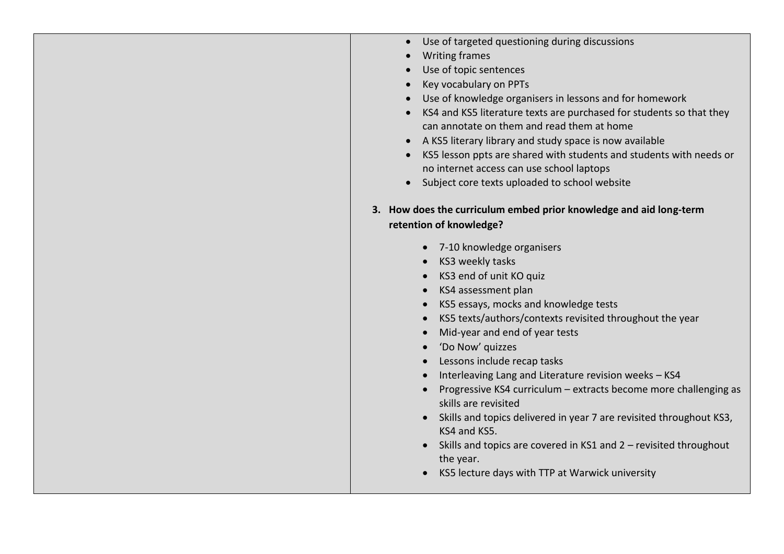|  | Use of targeted questioning during discussions |  |  |  |
|--|------------------------------------------------|--|--|--|
|--|------------------------------------------------|--|--|--|

- Writing frames
- Use of topic sentences
- Key vocabulary on PPTs
- Use of knowledge organisers in lessons and for homework
- KS4 and KS5 literature texts are purchased for students so that they can annotate on them and read them at home
- A KS5 literary library and study space is now available
- KS5 lesson ppts are shared with students and students with needs or no internet access can use school laptops
- Subject core texts uploaded to school website
- **3. How does the curriculum embed prior knowledge and aid long-term retention of knowledge?**
	- 7-10 knowledge organisers
	- KS3 weekly tasks
	- KS3 end of unit KO quiz
	- KS4 assessment plan
	- KS5 essays, mocks and knowledge tests
	- KS5 texts/authors/contexts revisited throughout the year
	- Mid-year and end of year tests
	- 'Do Now' quizzes
	- Lessons include recap tasks
	- Interleaving Lang and Literature revision weeks KS4
	- Progressive KS4 curriculum extracts become more challenging as skills are revisited
	- Skills and topics delivered in year 7 are revisited throughout KS3, KS4 and KS5.
	- Skills and topics are covered in KS1 and 2 revisited throughout the year.
	- KS5 lecture days with TTP at Warwick university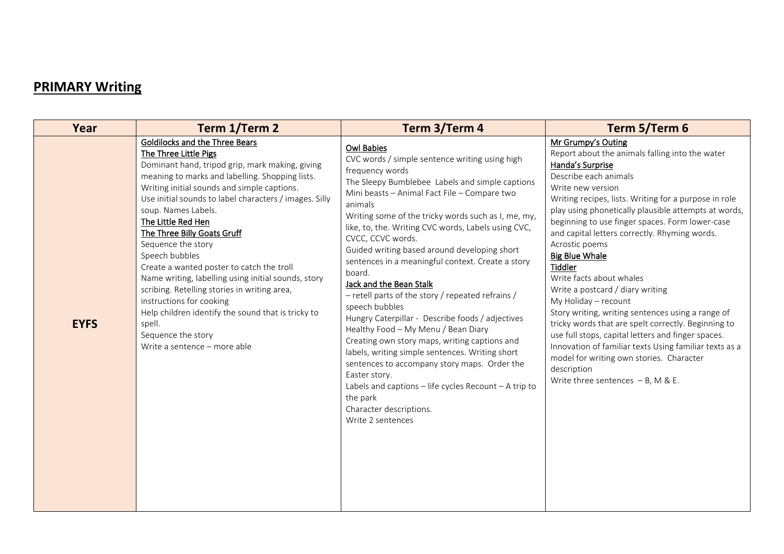# **PRIMARY Writing**

| Year        | Term 1/Term 2                                                                                                                                                                                                                                                                                                                                                                                                                                                                                                                                                                                                                                                                                    | Term 3/Term 4                                                                                                                                                                                                                                                                                                                                                                                                                                                                                                                                                                                                                                                                                                                                                                                                                                                                                                                                 | Term 5/Term 6                                                                                                                                                                                                                                                                                                                                                                                                                                                                                                                                                                                                                                                                                                                                                                                                                             |
|-------------|--------------------------------------------------------------------------------------------------------------------------------------------------------------------------------------------------------------------------------------------------------------------------------------------------------------------------------------------------------------------------------------------------------------------------------------------------------------------------------------------------------------------------------------------------------------------------------------------------------------------------------------------------------------------------------------------------|-----------------------------------------------------------------------------------------------------------------------------------------------------------------------------------------------------------------------------------------------------------------------------------------------------------------------------------------------------------------------------------------------------------------------------------------------------------------------------------------------------------------------------------------------------------------------------------------------------------------------------------------------------------------------------------------------------------------------------------------------------------------------------------------------------------------------------------------------------------------------------------------------------------------------------------------------|-------------------------------------------------------------------------------------------------------------------------------------------------------------------------------------------------------------------------------------------------------------------------------------------------------------------------------------------------------------------------------------------------------------------------------------------------------------------------------------------------------------------------------------------------------------------------------------------------------------------------------------------------------------------------------------------------------------------------------------------------------------------------------------------------------------------------------------------|
| <b>EYFS</b> | Goldilocks and the Three Bears<br>The Three Little Pigs<br>Dominant hand, tripod grip, mark making, giving<br>meaning to marks and labelling. Shopping lists.<br>Writing initial sounds and simple captions.<br>Use initial sounds to label characters / images. Silly<br>soup. Names Labels.<br>The Little Red Hen<br>The Three Billy Goats Gruff<br>Sequence the story<br>Speech bubbles<br>Create a wanted poster to catch the troll<br>Name writing, labelling using initial sounds, story<br>scribing. Retelling stories in writing area,<br>instructions for cooking<br>Help children identify the sound that is tricky to<br>spell.<br>Sequence the story<br>Write a sentence - more able | <b>Owl Babies</b><br>CVC words / simple sentence writing using high<br>frequency words<br>The Sleepy Bumblebee Labels and simple captions<br>Mini beasts - Animal Fact File - Compare two<br>animals<br>Writing some of the tricky words such as I, me, my,<br>like, to, the. Writing CVC words, Labels using CVC,<br>CVCC, CCVC words.<br>Guided writing based around developing short<br>sentences in a meaningful context. Create a story<br>board.<br>Jack and the Bean Stalk<br>- retell parts of the story / repeated refrains /<br>speech bubbles<br>Hungry Caterpillar - Describe foods / adjectives<br>Healthy Food - My Menu / Bean Diary<br>Creating own story maps, writing captions and<br>labels, writing simple sentences. Writing short<br>sentences to accompany story maps. Order the<br>Easter story.<br>Labels and captions - life cycles Recount - A trip to<br>the park<br>Character descriptions.<br>Write 2 sentences | Mr Grumpy's Outing<br>Report about the animals falling into the water<br>Handa's Surprise<br>Describe each animals<br>Write new version<br>Writing recipes, lists. Writing for a purpose in role<br>play using phonetically plausible attempts at words,<br>beginning to use finger spaces. Form lower-case<br>and capital letters correctly. Rhyming words.<br>Acrostic poems<br><b>Big Blue Whale</b><br>Tiddler<br>Write facts about whales<br>Write a postcard / diary writing<br>My Holiday - recount<br>Story writing, writing sentences using a range of<br>tricky words that are spelt correctly. Beginning to<br>use full stops, capital letters and finger spaces.<br>Innovation of familiar texts Using familiar texts as a<br>model for writing own stories. Character<br>description<br>Write three sentences $- B$ , M & E. |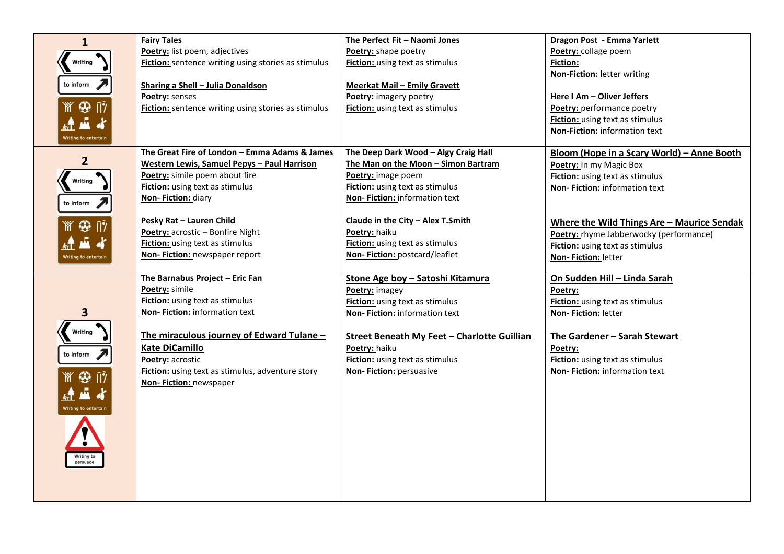| $\mathbf{1}$                       | <b>Fairy Tales</b>                                                      | The Perfect Fit - Naomi Jones                                           | Dragon Post - Emma Yarlett                                    |
|------------------------------------|-------------------------------------------------------------------------|-------------------------------------------------------------------------|---------------------------------------------------------------|
|                                    | Poetry: list poem, adjectives                                           | Poetry: shape poetry                                                    | Poetry: collage poem                                          |
| Writing                            | Fiction: sentence writing using stories as stimulus                     | <b>Fiction:</b> using text as stimulus                                  | <b>Fiction:</b>                                               |
|                                    |                                                                         |                                                                         | <b>Non-Fiction: letter writing</b>                            |
| to inform                          | Sharing a Shell - Julia Donaldson                                       | <b>Meerkat Mail - Emily Gravett</b>                                     |                                                               |
|                                    | <b>Poetry: senses</b>                                                   | Poetry: imagery poetry                                                  | Here I Am - Oliver Jeffers                                    |
| `m̃` �� ∏?                         | Fiction: sentence writing using stories as stimulus                     | Fiction: using text as stimulus                                         | Poetry: performance poetry                                    |
|                                    |                                                                         |                                                                         | Fiction: using text as stimulus                               |
|                                    |                                                                         |                                                                         | Non-Fiction: information text                                 |
| Writing to entertain               |                                                                         |                                                                         |                                                               |
|                                    | The Great Fire of London - Emma Adams & James                           | The Deep Dark Wood - Algy Craig Hall                                    | Bloom (Hope in a Scary World) – Anne Booth                    |
| 2                                  | Western Lewis, Samuel Pepys - Paul Harrison                             | The Man on the Moon - Simon Bartram                                     | Poetry: In my Magic Box                                       |
| Writing                            | Poetry: simile poem about fire                                          | Poetry: image poem                                                      | <b>Fiction:</b> using text as stimulus                        |
|                                    | <b>Fiction:</b> using text as stimulus                                  | <b>Fiction:</b> using text as stimulus                                  | Non-Fiction: information text                                 |
| to inform                          | Non-Fiction: diary                                                      | Non-Fiction: information text                                           |                                                               |
|                                    |                                                                         |                                                                         |                                                               |
| $\circledcirc$ ii)                 | Pesky Rat - Lauren Child                                                | Claude in the City - Alex T.Smith                                       | Where the Wild Things Are - Maurice Sendak                    |
|                                    | Poetry: acrostic - Bonfire Night                                        | Poetry: haiku                                                           | Poetry: rhyme Jabberwocky (performance)                       |
|                                    | <b>Fiction:</b> using text as stimulus<br>Non-Fiction: newspaper report | <b>Fiction:</b> using text as stimulus<br>Non-Fiction: postcard/leaflet | Fiction: using text as stimulus                               |
| Writing to entertair               |                                                                         |                                                                         | Non-Fiction: letter                                           |
|                                    | The Barnabus Project - Eric Fan                                         | Stone Age boy - Satoshi Kitamura                                        | On Sudden Hill - Linda Sarah                                  |
|                                    | Poetry: simile                                                          | Poetry: imagey                                                          | Poetry:                                                       |
|                                    |                                                                         |                                                                         |                                                               |
|                                    | Fiction: using text as stimulus                                         |                                                                         |                                                               |
| 3                                  | Non-Fiction: information text                                           | <b>Fiction:</b> using text as stimulus<br>Non-Fiction: information text | <b>Fiction:</b> using text as stimulus<br>Non-Fiction: letter |
|                                    |                                                                         |                                                                         |                                                               |
| Writing                            | The miraculous journey of Edward Tulane -                               | <b>Street Beneath My Feet - Charlotte Guillian</b>                      | The Gardener - Sarah Stewart                                  |
|                                    | <b>Kate DiCamillo</b>                                                   | Poetry: haiku                                                           | Poetry:                                                       |
| to inform $\overline{\phantom{a}}$ | Poetry: acrostic                                                        | <b>Fiction:</b> using text as stimulus                                  | <b>Fiction:</b> using text as stimulus                        |
|                                    | Fiction: using text as stimulus, adventure story                        | Non-Fiction: persuasive                                                 | Non-Fiction: information text                                 |
| $\circledcirc$ $\dot{v}$           | Non-Fiction: newspaper                                                  |                                                                         |                                                               |
| Æ.                                 |                                                                         |                                                                         |                                                               |
| Writing to entertain               |                                                                         |                                                                         |                                                               |
|                                    |                                                                         |                                                                         |                                                               |
|                                    |                                                                         |                                                                         |                                                               |
| $\bullet$                          |                                                                         |                                                                         |                                                               |
| Writing to                         |                                                                         |                                                                         |                                                               |
| persuade                           |                                                                         |                                                                         |                                                               |
|                                    |                                                                         |                                                                         |                                                               |
|                                    |                                                                         |                                                                         |                                                               |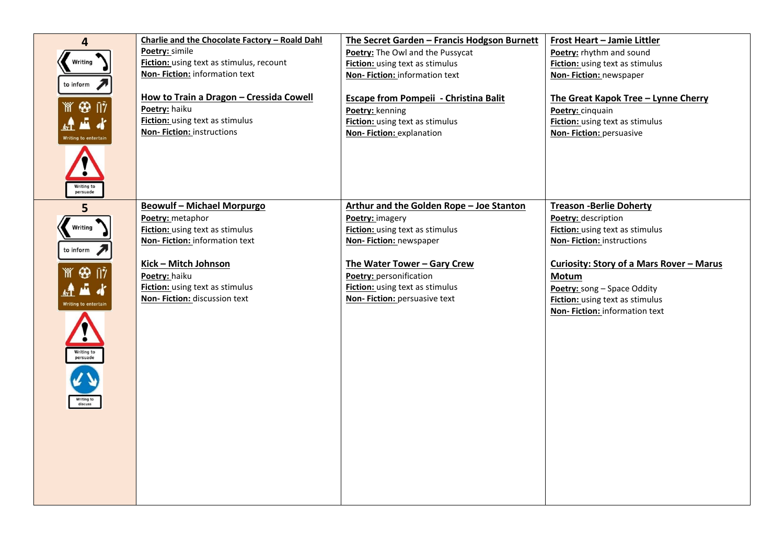| 4                                                                   | Charlie and the Chocolate Factory - Roald Dahl | The Secret Garden - Francis Hodgson Burnett  | Frost Heart - Jamie Littler              |
|---------------------------------------------------------------------|------------------------------------------------|----------------------------------------------|------------------------------------------|
|                                                                     | <b>Poetry: simile</b>                          | Poetry: The Owl and the Pussycat             | Poetry: rhythm and sound                 |
| Writing                                                             | Fiction: using text as stimulus, recount       | Fiction: using text as stimulus              | Fiction: using text as stimulus          |
|                                                                     | Non-Fiction: information text                  | Non-Fiction: information text                | Non-Fiction: newspaper                   |
| to inform                                                           |                                                |                                              |                                          |
|                                                                     | How to Train a Dragon - Cressida Cowell        | <b>Escape from Pompeii - Christina Balit</b> | The Great Kapok Tree - Lynne Cherry      |
| `m̃` ⊕ ∏?                                                           | Poetry: haiku                                  | Poetry: kenning                              | Poetry: cinquain                         |
|                                                                     | <b>Fiction:</b> using text as stimulus         | Fiction: using text as stimulus              | <b>Fiction:</b> using text as stimulus   |
| Writing to entertain                                                | Non-Fiction: instructions                      | Non-Fiction: explanation                     | Non-Fiction: persuasive                  |
| Writing to<br>persuade                                              |                                                |                                              |                                          |
| 5                                                                   | <b>Beowulf - Michael Morpurgo</b>              | Arthur and the Golden Rope - Joe Stanton     | <b>Treason -Berlie Doherty</b>           |
|                                                                     | Poetry: metaphor                               | Poetry: imagery                              | Poetry: description                      |
| Writing                                                             | <b>Fiction:</b> using text as stimulus         | <b>Fiction:</b> using text as stimulus       | Fiction: using text as stimulus          |
|                                                                     | Non-Fiction: information text                  | Non-Fiction: newspaper                       | Non-Fiction: instructions                |
| to inform                                                           |                                                |                                              |                                          |
|                                                                     | Kick - Mitch Johnson                           | The Water Tower - Gary Crew                  | Curiosity: Story of a Mars Rover - Marus |
| ⊛<br>ां?                                                            | Poetry: haiku                                  | Poetry: personification                      | Motum                                    |
|                                                                     | Fiction: using text as stimulus                | Fiction: using text as stimulus              | Poetry: song - Space Oddity              |
| Writing to entertain                                                | Non-Fiction: discussion text                   | Non-Fiction: persuasive text                 | <b>Fiction:</b> using text as stimulus   |
|                                                                     |                                                |                                              | Non-Fiction: information text            |
| $\ddot{\bullet}$<br>Writing to<br>persuade<br>Writing to<br>discuss |                                                |                                              |                                          |
|                                                                     |                                                |                                              |                                          |
|                                                                     |                                                |                                              |                                          |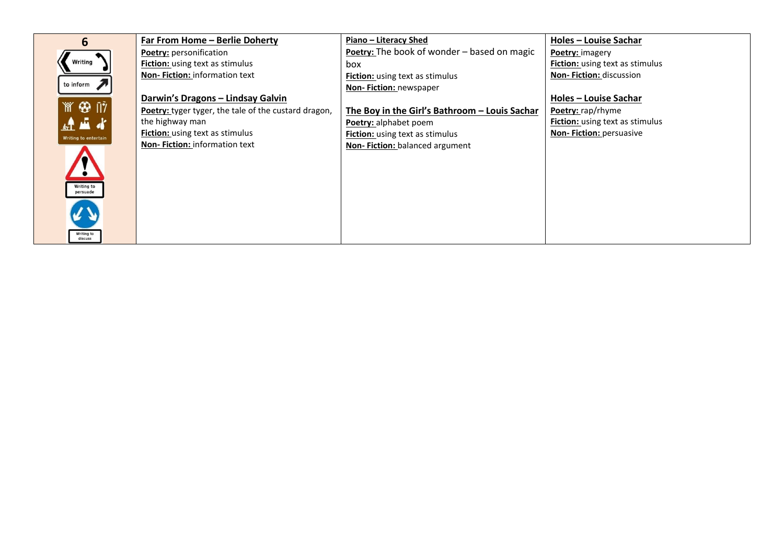| 6                                        | Far From Home - Berlie Doherty                       | Piano - Literacy Shed                         | <b>Holes - Louise Sachar</b>           |
|------------------------------------------|------------------------------------------------------|-----------------------------------------------|----------------------------------------|
|                                          | <b>Poetry: personification</b>                       | Poetry: The book of wonder – based on magic   | Poetry: imagery                        |
| Writing                                  | <b>Fiction:</b> using text as stimulus               | box                                           | <b>Fiction:</b> using text as stimulus |
|                                          | <b>Non-Fiction: information text</b>                 | <b>Fiction:</b> using text as stimulus        | <b>Non-Fiction: discussion</b>         |
| to inform                                |                                                      | <b>Non-Fiction: newspaper</b>                 |                                        |
|                                          | Darwin's Dragons - Lindsay Galvin                    |                                               | Holes - Louise Sachar                  |
| $\mathbb{M}$ $\mathfrak{B}$ $\mathbb{N}$ | Poetry: tyger tyger, the tale of the custard dragon, | The Boy in the Girl's Bathroom - Louis Sachar | Poetry: rap/rhyme                      |
| 建蓝水                                      | the highway man                                      | Poetry: alphabet poem                         | <b>Fiction:</b> using text as stimulus |
| Writing to entertain                     | <b>Fiction:</b> using text as stimulus               | <b>Fiction:</b> using text as stimulus        | Non-Fiction: persuasive                |
| Writing to<br>persuade                   | Non-Fiction: information text                        | Non-Fiction: balanced argument                |                                        |
| Writing to<br>discuss                    |                                                      |                                               |                                        |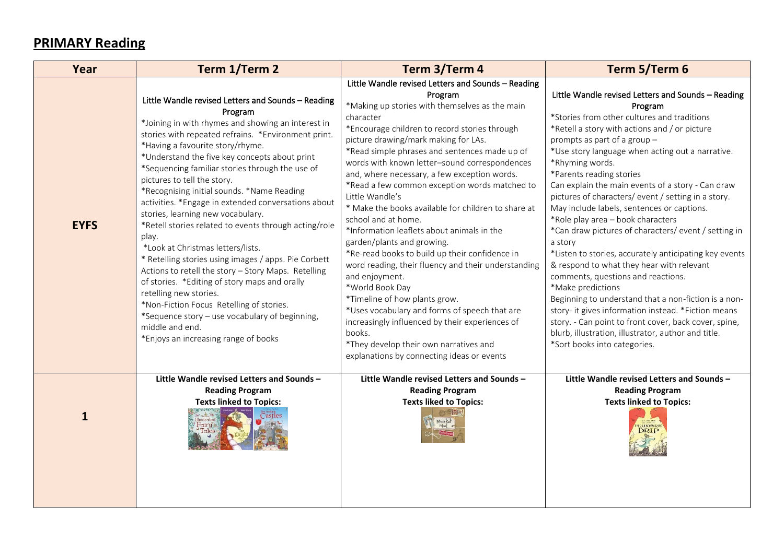### **PRIMARY Reading**

| Year         | Term 1/Term 2                                                                                                                                                                                                                                                                                                                                                                                                                                                                                                                                                                                                                                                                                                                                                                                                                                                                                                                                         | Term 3/Term 4                                                                                                                                                                                                                                                                                                                                                                                                                                                                                                                                                                                                                                                                                                                                                                                                                                                                                                                                                                              | Term 5/Term 6                                                                                                                                                                                                                                                                                                                                                                                                                                                                                                                                                                                                                                                                                                                                                                                                                                                                                                                                                                                    |
|--------------|-------------------------------------------------------------------------------------------------------------------------------------------------------------------------------------------------------------------------------------------------------------------------------------------------------------------------------------------------------------------------------------------------------------------------------------------------------------------------------------------------------------------------------------------------------------------------------------------------------------------------------------------------------------------------------------------------------------------------------------------------------------------------------------------------------------------------------------------------------------------------------------------------------------------------------------------------------|--------------------------------------------------------------------------------------------------------------------------------------------------------------------------------------------------------------------------------------------------------------------------------------------------------------------------------------------------------------------------------------------------------------------------------------------------------------------------------------------------------------------------------------------------------------------------------------------------------------------------------------------------------------------------------------------------------------------------------------------------------------------------------------------------------------------------------------------------------------------------------------------------------------------------------------------------------------------------------------------|--------------------------------------------------------------------------------------------------------------------------------------------------------------------------------------------------------------------------------------------------------------------------------------------------------------------------------------------------------------------------------------------------------------------------------------------------------------------------------------------------------------------------------------------------------------------------------------------------------------------------------------------------------------------------------------------------------------------------------------------------------------------------------------------------------------------------------------------------------------------------------------------------------------------------------------------------------------------------------------------------|
| <b>EYFS</b>  | Little Wandle revised Letters and Sounds - Reading<br>Program<br>*Joining in with rhymes and showing an interest in<br>stories with repeated refrains. *Environment print.<br>*Having a favourite story/rhyme.<br>*Understand the five key concepts about print<br>*Sequencing familiar stories through the use of<br>pictures to tell the story.<br>*Recognising initial sounds. *Name Reading<br>activities. *Engage in extended conversations about<br>stories, learning new vocabulary.<br>*Retell stories related to events through acting/role<br>play.<br>*Look at Christmas letters/lists.<br>* Retelling stories using images / apps. Pie Corbett<br>Actions to retell the story - Story Maps. Retelling<br>of stories. *Editing of story maps and orally<br>retelling new stories.<br>*Non-Fiction Focus Retelling of stories.<br>*Sequence story - use vocabulary of beginning,<br>middle and end.<br>*Enjoys an increasing range of books | Little Wandle revised Letters and Sounds - Reading<br>Program<br>*Making up stories with themselves as the main<br>character<br>*Encourage children to record stories through<br>picture drawing/mark making for LAs.<br>*Read simple phrases and sentences made up of<br>words with known letter-sound correspondences<br>and, where necessary, a few exception words.<br>*Read a few common exception words matched to<br>Little Wandle's<br>* Make the books available for children to share at<br>school and at home.<br>*Information leaflets about animals in the<br>garden/plants and growing.<br>*Re-read books to build up their confidence in<br>word reading, their fluency and their understanding<br>and enjoyment.<br>*World Book Day<br>*Timeline of how plants grow.<br>*Uses vocabulary and forms of speech that are<br>increasingly influenced by their experiences of<br>books.<br>*They develop their own narratives and<br>explanations by connecting ideas or events | Little Wandle revised Letters and Sounds - Reading<br>Program<br>*Stories from other cultures and traditions<br>*Retell a story with actions and / or picture<br>prompts as part of a group -<br>*Use story language when acting out a narrative.<br>*Rhyming words.<br>*Parents reading stories<br>Can explain the main events of a story - Can draw<br>pictures of characters/event/setting in a story.<br>May include labels, sentences or captions.<br>*Role play area - book characters<br>*Can draw pictures of characters/ event / setting in<br>a story<br>*Listen to stories, accurately anticipating key events<br>& respond to what they hear with relevant<br>comments, questions and reactions.<br>*Make predictions<br>Beginning to understand that a non-fiction is a non-<br>story- it gives information instead. *Fiction means<br>story. - Can point to front cover, back cover, spine,<br>blurb, illustration, illustrator, author and title.<br>*Sort books into categories. |
| $\mathbf{1}$ | Little Wandle revised Letters and Sounds -<br><b>Reading Program</b><br><b>Texts linked to Topics:</b>                                                                                                                                                                                                                                                                                                                                                                                                                                                                                                                                                                                                                                                                                                                                                                                                                                                | Little Wandle revised Letters and Sounds -<br><b>Reading Program</b><br><b>Texts liked to Topics:</b><br>Meerkat                                                                                                                                                                                                                                                                                                                                                                                                                                                                                                                                                                                                                                                                                                                                                                                                                                                                           | Little Wandle revised Letters and Sounds -<br><b>Reading Program</b><br><b>Texts linked to Topics:</b>                                                                                                                                                                                                                                                                                                                                                                                                                                                                                                                                                                                                                                                                                                                                                                                                                                                                                           |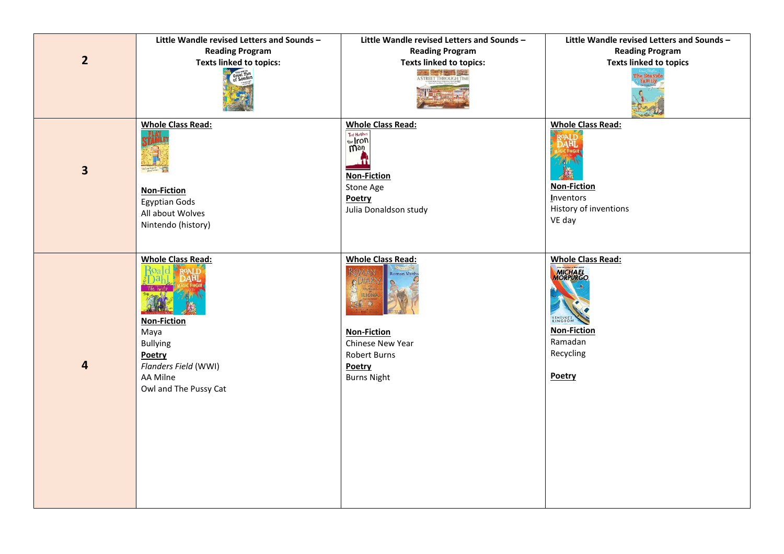|                         | Little Wandle revised Letters and Sounds -                                                                                                       | Little Wandle revised Letters and Sounds -                                                                                                                               | Little Wandle revised Letters and Sounds -                                                                                  |
|-------------------------|--------------------------------------------------------------------------------------------------------------------------------------------------|--------------------------------------------------------------------------------------------------------------------------------------------------------------------------|-----------------------------------------------------------------------------------------------------------------------------|
|                         | <b>Reading Program</b>                                                                                                                           | <b>Reading Program</b>                                                                                                                                                   | <b>Reading Program</b>                                                                                                      |
| $\overline{2}$          | <b>Texts linked to topics:</b>                                                                                                                   | <b>Texts linked to topics:</b>                                                                                                                                           | <b>Texts linked to topics</b>                                                                                               |
|                         | Great Fire                                                                                                                                       | STREET THROUGH TIM                                                                                                                                                       | he Seasid<br><b>Famil</b>                                                                                                   |
| $\overline{\mathbf{3}}$ | <b>Whole Class Read:</b><br><b>Non-Fiction</b><br><b>Egyptian Gods</b><br>All about Wolves<br>Nintendo (history)                                 | <b>Whole Class Read:</b><br>Ted Hughes<br>the Iron<br>Ω<br><b>Non-Fiction</b><br>Stone Age<br>Poetry<br>Julia Donaldson study                                            | <b>Whole Class Read:</b><br><b>Non-Fiction</b><br>Inventors<br>History of inventions<br>VE day                              |
| $\overline{\mathbf{4}}$ | <b>Whole Class Read:</b><br><b>Non-Fiction</b><br>Maya<br><b>Bullying</b><br>Poetry<br>Flanders Field (WWI)<br>AA Milne<br>Owl and The Pussy Cat | <b>Whole Class Read:</b><br>1AN<br>oman Myth:<br><b>GDIAR</b><br><b>ILIONA</b><br><b>Non-Fiction</b><br>Chinese New Year<br>Robert Burns<br>Poetry<br><b>Burns Night</b> | <b>Whole Class Read:</b><br><b>MICHAEL</b><br>MORPURGO<br>KENSUKE'S<br><b>Non-Fiction</b><br>Ramadan<br>Recycling<br>Poetry |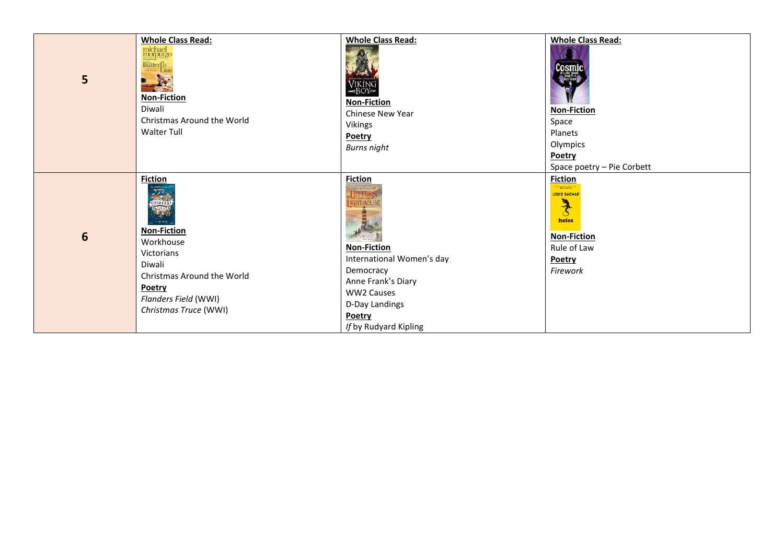| 5 | <b>Whole Class Read:</b><br>$\fbox{michael} \label{eq:mcpure} \begin{minipage}{0.5\textwidth} \centering \end{minipage}$<br>Butterfly<br>Lior<br><b>Non-Fiction</b><br>Diwali<br>Christmas Around the World<br>Walter Tull | <b>Whole Class Read:</b><br>VIKING<br><b>Non-Fiction</b><br><b>Chinese New Year</b><br>Vikings<br>Poetry<br><b>Burns night</b>                                                                                                | <b>Whole Class Read:</b><br><b>Non-Fiction</b><br>Space<br>Planets<br>Olympics<br>Poetry<br>Space poetry - Pie Corbett                            |
|---|----------------------------------------------------------------------------------------------------------------------------------------------------------------------------------------------------------------------------|-------------------------------------------------------------------------------------------------------------------------------------------------------------------------------------------------------------------------------|---------------------------------------------------------------------------------------------------------------------------------------------------|
| 6 | <b>Fiction</b><br>entrants<br>Contrants<br>1.13.038<br><b>Non-Fiction</b><br>Workhouse<br><b>Victorians</b><br>Diwali<br>Christmas Around the World<br><b>Poetry</b><br>Flanders Field (WWI)<br>Christmas Truce (WWI)      | <b>Fiction</b><br>Emina Carroll<br>LETTERS<br><b>IGHTHOUS</b><br><b>Non-Fiction</b><br>International Women's day<br>Democracy<br>Anne Frank's Diary<br><b>WW2 Causes</b><br>D-Day Landings<br>Poetry<br>If by Rudyard Kipling | <b>Fiction</b><br><b>Secondal Pre</b><br><b>LOUIS SACHAR</b><br>$\frac{1}{3}$<br>holes<br><b>Non-Fiction</b><br>Rule of Law<br>Poetry<br>Firework |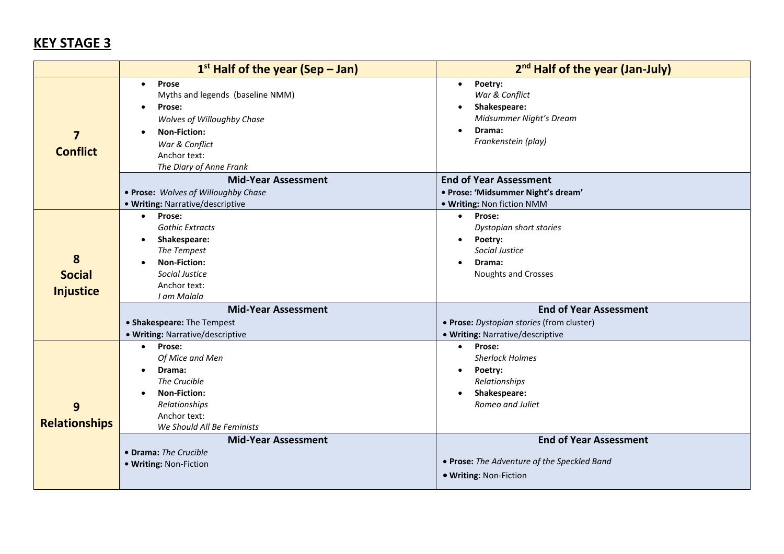|                                            | $1st$ Half of the year (Sep – Jan)                                                                                                                                                                                                                                | 2 <sup>nd</sup> Half of the year (Jan-July)                                                                                                                                                                                    |
|--------------------------------------------|-------------------------------------------------------------------------------------------------------------------------------------------------------------------------------------------------------------------------------------------------------------------|--------------------------------------------------------------------------------------------------------------------------------------------------------------------------------------------------------------------------------|
| $\overline{\mathbf{z}}$<br><b>Conflict</b> | Prose<br>$\bullet$<br>Myths and legends (baseline NMM)<br>Prose:<br>$\bullet$<br>Wolves of Willoughby Chase<br><b>Non-Fiction:</b><br>$\bullet$<br>War & Conflict<br>Anchor text:<br>The Diary of Anne Frank                                                      | Poetry:<br>$\bullet$<br>War & Conflict<br>Shakespeare:<br>$\bullet$<br>Midsummer Night's Dream<br>Drama:<br>$\bullet$<br>Frankenstein (play)                                                                                   |
|                                            | <b>Mid-Year Assessment</b><br>. Prose: Wolves of Willoughby Chase<br>. Writing: Narrative/descriptive                                                                                                                                                             | <b>End of Year Assessment</b><br>· Prose: 'Midsummer Night's dream'<br>. Writing: Non fiction NMM                                                                                                                              |
| 8<br><b>Social</b><br><b>Injustice</b>     | Prose:<br>$\bullet$<br><b>Gothic Extracts</b><br>Shakespeare:<br>$\bullet$<br>The Tempest<br><b>Non-Fiction:</b><br>Social Justice<br>Anchor text:<br>I am Malala                                                                                                 | Prose:<br>$\bullet$<br>Dystopian short stories<br>Poetry:<br>$\bullet$<br>Social Justice<br>Drama:<br>$\bullet$<br><b>Noughts and Crosses</b>                                                                                  |
|                                            | <b>Mid-Year Assessment</b><br>• Shakespeare: The Tempest<br>· Writing: Narrative/descriptive                                                                                                                                                                      | <b>End of Year Assessment</b><br>· Prose: Dystopian stories (from cluster)<br>· Writing: Narrative/descriptive                                                                                                                 |
| 9<br><b>Relationships</b>                  | Prose:<br>$\bullet$<br>Of Mice and Men<br>Drama:<br>$\bullet$<br>The Crucible<br><b>Non-Fiction:</b><br>$\bullet$<br>Relationships<br>Anchor text:<br>We Should All Be Feminists<br><b>Mid-Year Assessment</b><br>• Drama: The Crucible<br>· Writing: Non-Fiction | <b>Prose:</b><br>$\bullet$<br><b>Sherlock Holmes</b><br>Poetry:<br>$\bullet$<br>Relationships<br>Shakespeare:<br>$\bullet$<br>Romeo and Juliet<br><b>End of Year Assessment</b><br>• Prose: The Adventure of the Speckled Band |
|                                            |                                                                                                                                                                                                                                                                   | · Writing: Non-Fiction                                                                                                                                                                                                         |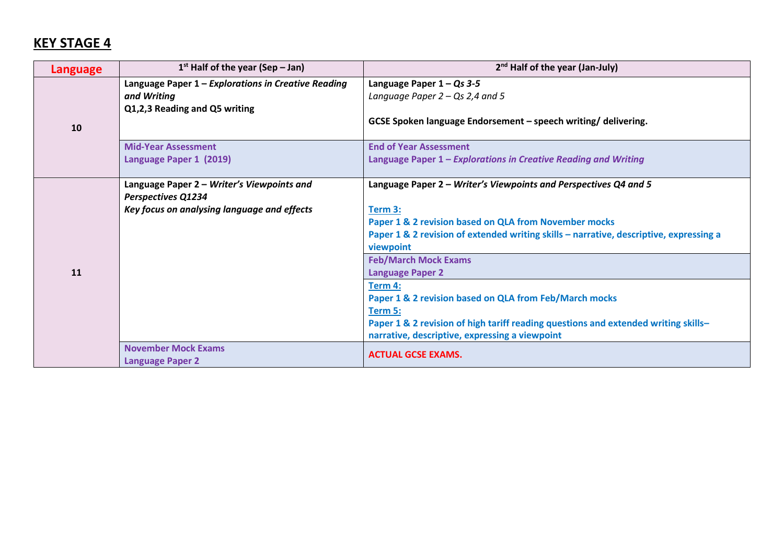| Language | $1st$ Half of the year (Sep – Jan)                                                                              | $2nd$ Half of the year (Jan-July)                                                                                                                                                                                                                                                                                |
|----------|-----------------------------------------------------------------------------------------------------------------|------------------------------------------------------------------------------------------------------------------------------------------------------------------------------------------------------------------------------------------------------------------------------------------------------------------|
| 10       | Language Paper $1$ – Explorations in Creative Reading<br>and Writing<br>Q1,2,3 Reading and Q5 writing           | Language Paper $1-Qs$ 3-5<br>Language Paper $2 - Qs$ 2,4 and 5<br>GCSE Spoken language Endorsement - speech writing/ delivering.                                                                                                                                                                                 |
|          | <b>Mid-Year Assessment</b><br>Language Paper 1 (2019)                                                           | <b>End of Year Assessment</b><br>Language Paper 1 - Explorations in Creative Reading and Writing                                                                                                                                                                                                                 |
| 11       | Language Paper 2 - Writer's Viewpoints and<br>Perspectives Q1234<br>Key focus on analysing language and effects | Language Paper 2 – Writer's Viewpoints and Perspectives Q4 and 5<br>Term 3:<br>Paper 1 & 2 revision based on QLA from November mocks<br>Paper 1 & 2 revision of extended writing skills - narrative, descriptive, expressing a<br>viewpoint<br><b>Feb/March Mock Exams</b><br><b>Language Paper 2</b><br>Term 4: |
|          | <b>November Mock Exams</b>                                                                                      | Paper 1 & 2 revision based on QLA from Feb/March mocks<br>Term 5:<br>Paper 1 & 2 revision of high tariff reading questions and extended writing skills-<br>narrative, descriptive, expressing a viewpoint                                                                                                        |
|          | <b>Language Paper 2</b>                                                                                         | <b>ACTUAL GCSE EXAMS.</b>                                                                                                                                                                                                                                                                                        |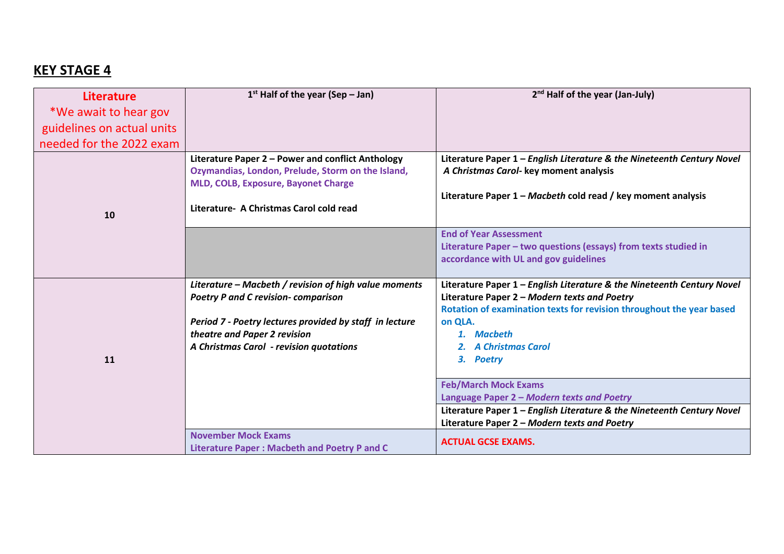| <b>Literature</b>          | $1st$ Half of the year (Sep – Jan)                                                                                                                                                                                                        | 2 <sup>nd</sup> Half of the year (Jan-July)                                                                                                                                                                                                                      |
|----------------------------|-------------------------------------------------------------------------------------------------------------------------------------------------------------------------------------------------------------------------------------------|------------------------------------------------------------------------------------------------------------------------------------------------------------------------------------------------------------------------------------------------------------------|
| *We await to hear gov      |                                                                                                                                                                                                                                           |                                                                                                                                                                                                                                                                  |
| guidelines on actual units |                                                                                                                                                                                                                                           |                                                                                                                                                                                                                                                                  |
| needed for the 2022 exam   |                                                                                                                                                                                                                                           |                                                                                                                                                                                                                                                                  |
| 10                         | Literature Paper 2 - Power and conflict Anthology<br>Ozymandias, London, Prelude, Storm on the Island,<br>MLD, COLB, Exposure, Bayonet Charge<br>Literature - A Christmas Carol cold read                                                 | Literature Paper 1 - English Literature & the Nineteenth Century Novel<br>A Christmas Carol- key moment analysis<br>Literature Paper 1 - Macbeth cold read / key moment analysis                                                                                 |
|                            |                                                                                                                                                                                                                                           | <b>End of Year Assessment</b><br>Literature Paper - two questions (essays) from texts studied in<br>accordance with UL and gov guidelines                                                                                                                        |
| 11                         | Literature - Macbeth / revision of high value moments<br><b>Poetry P and C revision- comparison</b><br>Period 7 - Poetry lectures provided by staff in lecture<br>theatre and Paper 2 revision<br>A Christmas Carol - revision quotations | Literature Paper 1 - English Literature & the Nineteenth Century Novel<br>Literature Paper 2 - Modern texts and Poetry<br>Rotation of examination texts for revision throughout the year based<br>on QLA.<br>1. Macbeth<br><b>A Christmas Carol</b><br>3. Poetry |
|                            | <b>November Mock Exams</b>                                                                                                                                                                                                                | <b>Feb/March Mock Exams</b><br>Language Paper 2 - Modern texts and Poetry<br>Literature Paper 1 - English Literature & the Nineteenth Century Novel<br>Literature Paper 2 - Modern texts and Poetry<br><b>ACTUAL GCSE EXAMS.</b>                                 |
|                            | <b>Literature Paper: Macbeth and Poetry P and C</b>                                                                                                                                                                                       |                                                                                                                                                                                                                                                                  |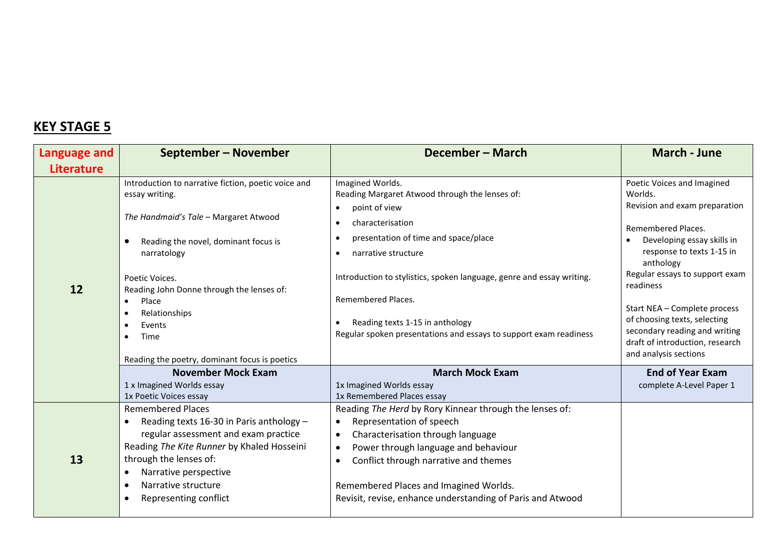| Language and      | September - November                                                                                                                                                                                                                                                                                                                                                                               | December - March                                                                                                                                                                                                                                                                                                                                                                                                                               | <b>March - June</b>                                                                                                                                                                                                                                                                                                                                                              |
|-------------------|----------------------------------------------------------------------------------------------------------------------------------------------------------------------------------------------------------------------------------------------------------------------------------------------------------------------------------------------------------------------------------------------------|------------------------------------------------------------------------------------------------------------------------------------------------------------------------------------------------------------------------------------------------------------------------------------------------------------------------------------------------------------------------------------------------------------------------------------------------|----------------------------------------------------------------------------------------------------------------------------------------------------------------------------------------------------------------------------------------------------------------------------------------------------------------------------------------------------------------------------------|
| <b>Literature</b> |                                                                                                                                                                                                                                                                                                                                                                                                    |                                                                                                                                                                                                                                                                                                                                                                                                                                                |                                                                                                                                                                                                                                                                                                                                                                                  |
| 12                | Introduction to narrative fiction, poetic voice and<br>essay writing.<br>The Handmaid's Tale - Margaret Atwood<br>Reading the novel, dominant focus is<br>$\bullet$<br>narratology<br>Poetic Voices.<br>Reading John Donne through the lenses of:<br>Place<br>$\bullet$<br>Relationships<br>$\bullet$<br>Events<br>$\bullet$<br>Time<br>$\bullet$<br>Reading the poetry, dominant focus is poetics | Imagined Worlds.<br>Reading Margaret Atwood through the lenses of:<br>point of view<br>$\bullet$<br>characterisation<br>$\bullet$<br>presentation of time and space/place<br>$\bullet$<br>narrative structure<br>$\bullet$<br>Introduction to stylistics, spoken language, genre and essay writing.<br>Remembered Places.<br>Reading texts 1-15 in anthology<br>$\bullet$<br>Regular spoken presentations and essays to support exam readiness | Poetic Voices and Imagined<br>Worlds.<br>Revision and exam preparation<br>Remembered Places.<br>Developing essay skills in<br>response to texts 1-15 in<br>anthology<br>Regular essays to support exam<br>readiness<br>Start NEA - Complete process<br>of choosing texts, selecting<br>secondary reading and writing<br>draft of introduction, research<br>and analysis sections |
|                   | <b>November Mock Exam</b><br>1 x Imagined Worlds essay<br>1x Poetic Voices essay                                                                                                                                                                                                                                                                                                                   | <b>March Mock Exam</b><br>1x Imagined Worlds essay<br>1x Remembered Places essay                                                                                                                                                                                                                                                                                                                                                               | <b>End of Year Exam</b><br>complete A-Level Paper 1                                                                                                                                                                                                                                                                                                                              |
| 13                | <b>Remembered Places</b><br>Reading texts 16-30 in Paris anthology -<br>$\bullet$<br>regular assessment and exam practice<br>Reading The Kite Runner by Khaled Hosseini<br>through the lenses of:<br>Narrative perspective<br>$\bullet$<br>Narrative structure<br>$\bullet$<br>Representing conflict<br>$\bullet$                                                                                  | Reading The Herd by Rory Kinnear through the lenses of:<br>Representation of speech<br>$\bullet$<br>Characterisation through language<br>$\bullet$<br>Power through language and behaviour<br>$\bullet$<br>Conflict through narrative and themes<br>$\bullet$<br>Remembered Places and Imagined Worlds.<br>Revisit, revise, enhance understanding of Paris and Atwood                                                                          |                                                                                                                                                                                                                                                                                                                                                                                  |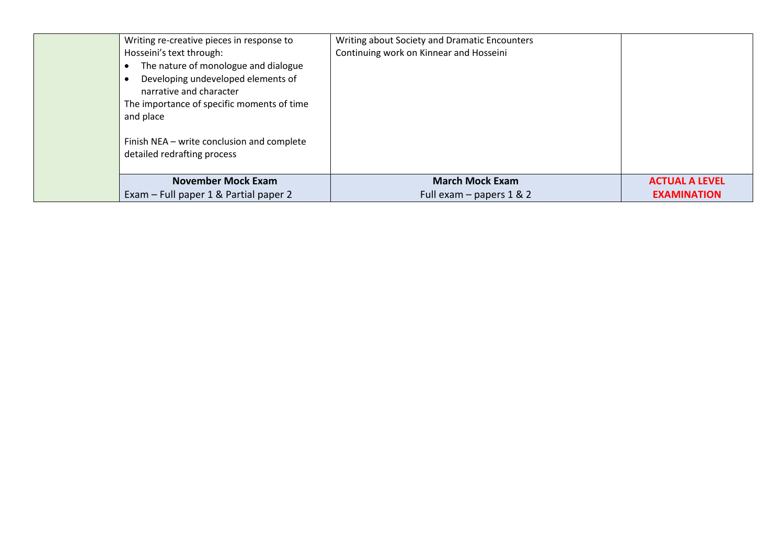| Writing re-creative pieces in response to                                 | Writing about Society and Dramatic Encounters |                       |
|---------------------------------------------------------------------------|-----------------------------------------------|-----------------------|
| Hosseini's text through:                                                  | Continuing work on Kinnear and Hosseini       |                       |
| The nature of monologue and dialogue                                      |                                               |                       |
| Developing undeveloped elements of<br>narrative and character             |                                               |                       |
| The importance of specific moments of time<br>and place                   |                                               |                       |
| Finish NEA - write conclusion and complete<br>detailed redrafting process |                                               |                       |
| <b>November Mock Exam</b>                                                 | <b>March Mock Exam</b>                        | <b>ACTUAL A LEVEL</b> |
| Exam – Full paper 1 & Partial paper 2                                     | Full exam $-$ papers 1 & 2                    | <b>EXAMINATION</b>    |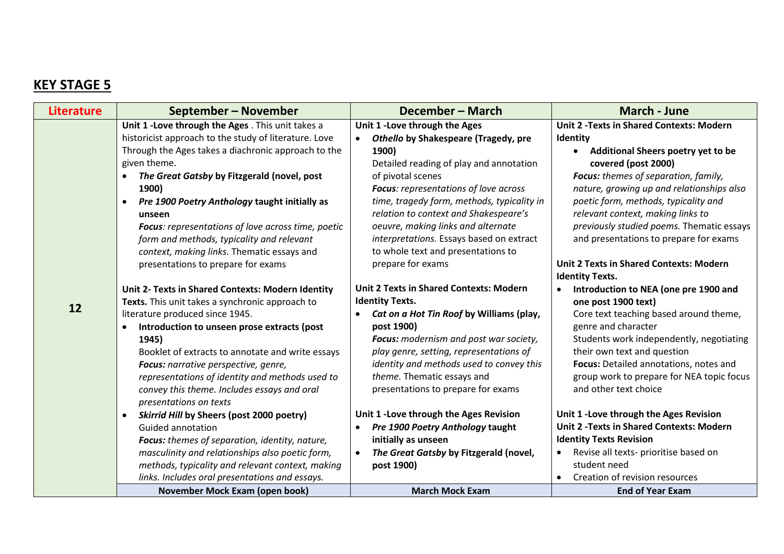| <b>Literature</b> | September – November                                                                                                                                                                                                                                                                                                                                                                                                                                                                         | December – March                                                                                                                                                                                                                                                                                                                                                                                                             | <b>March - June</b>                                                                                                                                                                                                                                                                                                                                                                                                                                      |
|-------------------|----------------------------------------------------------------------------------------------------------------------------------------------------------------------------------------------------------------------------------------------------------------------------------------------------------------------------------------------------------------------------------------------------------------------------------------------------------------------------------------------|------------------------------------------------------------------------------------------------------------------------------------------------------------------------------------------------------------------------------------------------------------------------------------------------------------------------------------------------------------------------------------------------------------------------------|----------------------------------------------------------------------------------------------------------------------------------------------------------------------------------------------------------------------------------------------------------------------------------------------------------------------------------------------------------------------------------------------------------------------------------------------------------|
| 12                | Unit 1 - Love through the Ages . This unit takes a<br>historicist approach to the study of literature. Love<br>Through the Ages takes a diachronic approach to the<br>given theme.<br>The Great Gatsby by Fitzgerald (novel, post<br>1900)<br>Pre 1900 Poetry Anthology taught initially as<br>unseen<br>Focus: representations of love across time, poetic<br>form and methods, typicality and relevant<br>context, making links. Thematic essays and<br>presentations to prepare for exams | Unit 1 - Love through the Ages<br>Othello by Shakespeare (Tragedy, pre<br>1900)<br>Detailed reading of play and annotation<br>of pivotal scenes<br>Focus: representations of love across<br>time, tragedy form, methods, typicality in<br>relation to context and Shakespeare's<br>oeuvre, making links and alternate<br>interpretations. Essays based on extract<br>to whole text and presentations to<br>prepare for exams | <b>Unit 2 - Texts in Shared Contexts: Modern</b><br>Identity<br><b>Additional Sheers poetry yet to be</b><br>$\bullet$<br>covered (post 2000)<br>Focus: themes of separation, family,<br>nature, growing up and relationships also<br>poetic form, methods, typicality and<br>relevant context, making links to<br>previously studied poems. Thematic essays<br>and presentations to prepare for exams<br><b>Unit 2 Texts in Shared Contexts: Modern</b> |
|                   | Unit 2- Texts in Shared Contexts: Modern Identity<br>Texts. This unit takes a synchronic approach to<br>literature produced since 1945.<br>Introduction to unseen prose extracts (post<br>$\bullet$<br>1945)<br>Booklet of extracts to annotate and write essays<br>Focus: narrative perspective, genre,<br>representations of identity and methods used to<br>convey this theme. Includes essays and oral<br>presentations on texts                                                         | <b>Unit 2 Texts in Shared Contexts: Modern</b><br><b>Identity Texts.</b><br>Cat on a Hot Tin Roof by Williams (play,<br>post 1900)<br>Focus: modernism and post war society,<br>play genre, setting, representations of<br>identity and methods used to convey this<br>theme. Thematic essays and<br>presentations to prepare for exams                                                                                      | <b>Identity Texts.</b><br>Introduction to NEA (one pre 1900 and<br>$\bullet$<br>one post 1900 text)<br>Core text teaching based around theme,<br>genre and character<br>Students work independently, negotiating<br>their own text and question<br>Focus: Detailed annotations, notes and<br>group work to prepare for NEA topic focus<br>and other text choice                                                                                          |
|                   | <b>Skirrid Hill by Sheers (post 2000 poetry)</b><br>$\bullet$<br><b>Guided annotation</b><br>Focus: themes of separation, identity, nature,<br>masculinity and relationships also poetic form,<br>methods, typicality and relevant context, making<br>links. Includes oral presentations and essays.<br>November Mock Exam (open book)                                                                                                                                                       | Unit 1 - Love through the Ages Revision<br>Pre 1900 Poetry Anthology taught<br>initially as unseen<br>The Great Gatsby by Fitzgerald (novel,<br>post 1900)<br><b>March Mock Exam</b>                                                                                                                                                                                                                                         | Unit 1 - Love through the Ages Revision<br><b>Unit 2 - Texts in Shared Contexts: Modern</b><br><b>Identity Texts Revision</b><br>Revise all texts- prioritise based on<br>$\bullet$<br>student need<br>Creation of revision resources<br>$\bullet$<br><b>End of Year Exam</b>                                                                                                                                                                            |